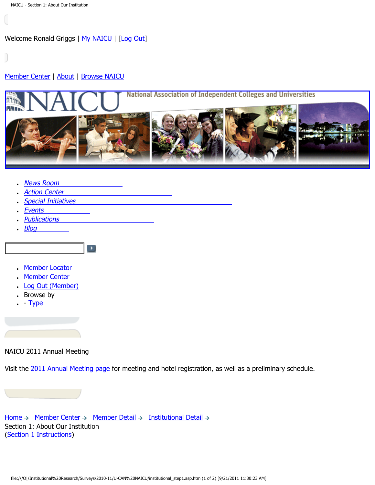<span id="page-0-0"></span>Welcome Ronald Griggs | [My NAICU](http://naicu.edu/My_NAICU/) | [[Log Out](http://naicu.edu/My_NAICU/signout.asp)]

### [Member Center](http://naicu.edu/Member_Center/default.asp) | [About](http://naicu.edu/about/default.asp) | [Browse NAICU](http://naicu.edu/Browse_NAICU/default.asp)



- [News Room](http://naicu.edu/news_room/default.asp)
- **[Action Center](http://capwiz.com/naicu/home/)**
- [Special Initiatives](http://naicu.edu/special_initiatives/default.asp)

 $\blacktriangleright$ 

- [Events](http://naicu.edu/events/default.asp)
- [Publications](http://naicu.edu/publications/default.asp)
- $\cdot$  [Blog](http://naicu.edu/naicublog/default.asp)
	-
- [Member Locator](http://naicu.edu/member_center/memberLocator.asp)
- [Member Center](http://naicu.edu/member_center/)
- [Log Out \(Member\)](http://naicu.edu/member_center/signout.asp)
- Browse by
- $\cdot$  - [Type](http://naicu.edu/member_center/memberNews_byType.asp)

NAICU 2011 Annual Meeting

Visit the [2011 Annual Meeting page](http://www.naicu.edu/events/2011-annual-meeting) for meeting and hotel registration, as well as a preliminary schedule.

[Home](http://naicu.edu/)  $\rightarrow$  [Member Center](http://naicu.edu/member_center/)  $\rightarrow$  [Member Detail](http://naicu.edu/member_center/id.432/member_detail.asp)  $\rightarrow$  [Institutional Detail](http://naicu.edu/member_center/id.432/institutional_detail.asp)  $\rightarrow$ Section 1: About Our Institution [\(Section 1 Instructions\)](http://www.naicu.edu/special_initiatives/u-can-data-entry-guidelines#Sec1)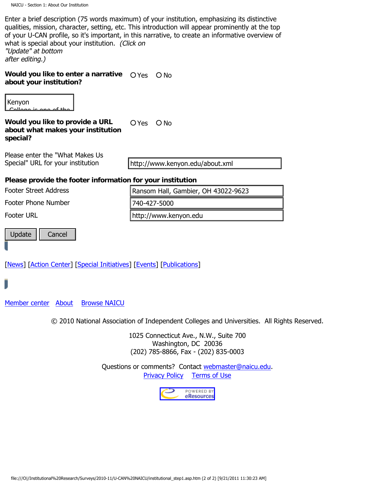Enter a brief description (75 words maximum) of your institution, emphasizing its distinctive qualities, mission, character, setting, etc. This introduction will appear prominently at the top of your U-CAN profile, so it's important, in this narrative, to create an informative overview of what is special about your institution. (Click on "Update" at bottom

after editing.)

**Would you like to enter a narrative**  $\bigcirc$  Yes  $\bigcirc$  No about your institution?

College is one of the

**Would you like to provide a URL about what makes your institution special?** a O Yes O No Keyon<br>
Keyles are the "What makes your institution<br>
bout you like to provide a URL<br>
poclal?<br>
House enter the "What Makes Iss<br>
Please provide the footer information for your institution<br>
Clease provide the footer informatio close-knitten community of the community of the community of the community of the community of the community of the community of the community of the community of the community of the community of the community of the comm

Please enter the "What Makes Us Accept of the contract reflection. teach an

http://www.kenyon.edu/about.xml

#### Please provide the footer information for your institution  $rac{1}{2}$

Footer Street Address

Footer Phone Number

Footer URL achievement, but its controller in the controller of the controller in the controller of the controller in the<br>The controller is a controller in the controller in the controller in the controller in the controller in the ouer under

way personal contact the contact of the contact of the contact of the contact of the contact of the contact of Update || Cancel daily experience on

its historic and scenic

professors as teachers, advisers, Ransom Hall, Gambier, OH 43022-9623 740-427-5000

http://www.kenyon.edu

[\[News](http://naicu.edu/News_Room/default.asp)] [[Action Center\]](#page-0-0) [[Special Initiatives\]](http://naicu.edu/Special_Initiatives/default.asp) [\[Events](http://naicu.edu/Events/default.asp)] [\[Publications](http://naicu.edu/Publications/default.asp)] <u>IVCWS</u>

[Member center](http://naicu.edu/Member_Center/default.asp) [About](http://naicu.edu/about/default.asp) [Browse NAICU](http://naicu.edu/Browse_NAICU/default.asp)

© 2010 National Association of Independent Colleges and Universities. All Rights Reserved. individuals--their

> 1025 Connecticut Ave., N.W., Suite 700 Washington, DC 20036 (202) 785-8866, Fax - (202) 835-0003

Questions or comments? Contact [webmaster@naicu.edu](mailto:webmaster@naicu.edu). [Privacy Policy](http://naicu.edu/about/privacy-policy) [Terms of Use](http://naicu.edu/about/terms-of-use)

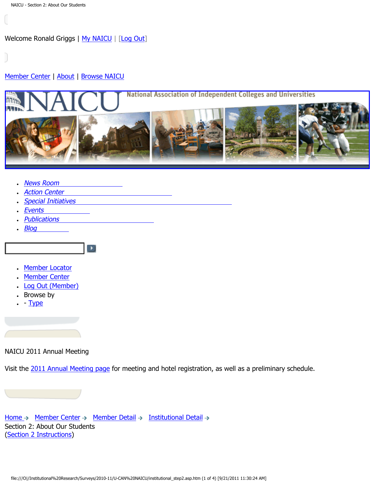<span id="page-2-0"></span>Welcome Ronald Griggs | [My NAICU](http://naicu.edu/My_NAICU/) | [[Log Out](http://naicu.edu/My_NAICU/signout.asp)]

### [Member Center](http://naicu.edu/Member_Center/default.asp) | [About](http://naicu.edu/about/default.asp) | [Browse NAICU](http://naicu.edu/Browse_NAICU/default.asp)



- [News Room](http://naicu.edu/news_room/default.asp)
- **[Action Center](http://capwiz.com/naicu/home/)**
- [Special Initiatives](http://naicu.edu/special_initiatives/default.asp)

 $\left[\begin{array}{c} \blacksquare \end{array}\right]$ 

- [Events](http://naicu.edu/events/default.asp)
- [Publications](http://naicu.edu/publications/default.asp)
- $\cdot$  [Blog](http://naicu.edu/naicublog/default.asp)
- [Member Locator](http://naicu.edu/member_center/memberLocator.asp)
- [Member Center](http://naicu.edu/member_center/)
- [Log Out \(Member\)](http://naicu.edu/member_center/signout.asp)
- Browse by
- $\cdot$  - [Type](http://naicu.edu/member_center/memberNews_byType.asp)

NAICU 2011 Annual Meeting

Visit the [2011 Annual Meeting page](http://www.naicu.edu/events/2011-annual-meeting) for meeting and hotel registration, as well as a preliminary schedule.

[Home](http://naicu.edu/)  $\rightarrow$  [Member Center](http://naicu.edu/member_center/)  $\rightarrow$  [Member Detail](http://naicu.edu/member_center/id.432/member_detail.asp)  $\rightarrow$  [Institutional Detail](http://naicu.edu/member_center/id.432/institutional_detail.asp)  $\rightarrow$ Section 2: About Our Students [\(Section 2 Instructions\)](http://www.naicu.edu/special_initiatives/u-can-data-entry-guidelines#Sec2)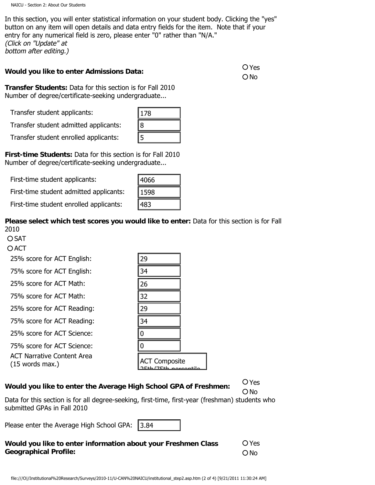In this section, you will enter statistical information on your student body. Clicking the "yes" button on any item will open details and data entry fields for the item. Note that if your entry for any numerical field is zero, please enter "0" rather than "N/A." (Click on "Update" at bottom after editing.)

## **Would you like to enter Admissions Data: Would you like to enter Admissions Data:**

ONo

**Transfer Students:** Data for this section is for Fall 2010 Number of degree/certificate-seeking undergraduate...

Transfer student applicants:

| 78 |  |
|----|--|
| 8  |  |
| Γ  |  |

| 4066 |  |
|------|--|
| 1598 |  |
| 483  |  |

#### **Please select which test scores you would like to enter:** Data for this section is for Fall 2010

**O SAT** 

**O ACT** 

| Transfer student applicants:                                                                                                                                                                 | 178                  |                        |
|----------------------------------------------------------------------------------------------------------------------------------------------------------------------------------------------|----------------------|------------------------|
| Transfer student admitted applicants:                                                                                                                                                        | 8                    |                        |
| Transfer student enrolled applicants:                                                                                                                                                        | 5                    |                        |
| rst-time Students: Data for this section is for Fall 2010<br>umber of degree/certificate-seeking undergraduate                                                                               |                      |                        |
| First-time student applicants:                                                                                                                                                               | 4066                 |                        |
| First-time student admitted applicants:                                                                                                                                                      | 1598                 |                        |
| First-time student enrolled applicants:                                                                                                                                                      | 483                  |                        |
| ease select which test scores you would like to enter: Data for this section is fo<br>10<br>) SAT<br>) ACT                                                                                   |                      |                        |
| 25% score for ACT English:                                                                                                                                                                   | 29                   |                        |
| 75% score for ACT English:                                                                                                                                                                   | 34                   |                        |
| 25% score for ACT Math:                                                                                                                                                                      | 26                   |                        |
| 75% score for ACT Math:                                                                                                                                                                      | 32                   |                        |
| 25% score for ACT Reading:                                                                                                                                                                   | 29                   |                        |
| 75% score for ACT Reading:                                                                                                                                                                   | 34                   |                        |
| 25% score for ACT Science:                                                                                                                                                                   | $\pmb{0}$            |                        |
| 75% score for ACT Science:                                                                                                                                                                   | $\boldsymbol{0}$     |                        |
| <b>ACT Narrative Content Area</b><br>(15 words max.)                                                                                                                                         | <b>ACT Composite</b> |                        |
| ould you like to enter the Average High School GPA of Freshmen:<br>ata for this section is for all degree-seeking, first-time, first-year (freshman) students w<br>bmitted GPAs in Fall 2010 |                      | O Yes<br>O No          |
| ease enter the Average High School GPA:                                                                                                                                                      | 3.84                 |                        |
| ould you like to enter information about your Freshmen Class<br>eographical Profile:                                                                                                         |                      | O Yes<br>$\bigcirc$ No |
| file:///O /Institutional%20Research/Surveys/2010-11/U-CAN%20NAICU/institutional_step2.asp.htm (2 of 4) [9/21/2011 11:30:24 AM]                                                               |                      |                        |

# **Would you like to enter the Average High School GPA of Freshmen:** Yes

Data for this section is for all degree-seeking, first-time, first-year (freshman) students who submitted GPAs in Fall 2010

Please enter the Average High School GPA:

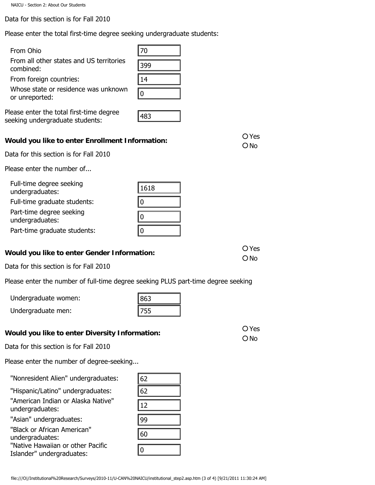Data for this section is for Fall 2010

Please enter the total first-time degree seeking undergraduate students:

#### From Ohio

| Whose state or residence was unknown |  |
|--------------------------------------|--|
| or unreported:                       |  |

Please enter the total first-time degree seeking undergraduate students:

| 399 |  |
|-----|--|
| 14  |  |
|     |  |
| J   |  |

## **Would you like to enter Enrollment Information:**  $\overline{O}$  Yes

Data for this section is for Fall 2010

Please enter the number of...

| From Ohio                                                                                                                      | 70                      |                        |
|--------------------------------------------------------------------------------------------------------------------------------|-------------------------|------------------------|
| From all other states and US territories<br>combined:                                                                          | 399                     |                        |
| From foreign countries:                                                                                                        | 14                      |                        |
| Whose state or residence was unknown<br>or unreported:                                                                         | $\pmb{0}$               |                        |
| ease enter the total first-time degree<br>eking undergraduate students:                                                        | 483                     |                        |
| ould you like to enter Enrollment Information:                                                                                 |                         | O Yes<br>$O$ No        |
| ata for this section is for Fall 2010                                                                                          |                         |                        |
| ease enter the number of                                                                                                       |                         |                        |
| Full-time degree seeking<br>undergraduates:                                                                                    | 1618                    |                        |
| Full-time graduate students:<br>Part-time degree seeking<br>undergraduates:                                                    | $\bf{0}$<br>$ 0\rangle$ |                        |
| Part-time graduate students:                                                                                                   | $\bf{0}$                |                        |
| ould you like to enter Gender Information:                                                                                     |                         | O Yes<br>$\bigcirc$ No |
| ata for this section is for Fall 2010                                                                                          |                         |                        |
| ease enter the number of full-time degree seeking PLUS part-time degree seeking                                                |                         |                        |
| Undergraduate women:                                                                                                           | 863                     |                        |
| Undergraduate men:                                                                                                             | 755                     |                        |
| ould you like to enter Diversity Information:                                                                                  |                         | O Yes                  |
| ata for this section is for Fall 2010                                                                                          |                         | $O$ No                 |
| ease enter the number of degree-seeking                                                                                        |                         |                        |
| "Nonresident Alien" undergraduates:                                                                                            | 62                      |                        |
| "Hispanic/Latino" undergraduates:                                                                                              | 62                      |                        |
| "American Indian or Alaska Native"<br>undergraduates:                                                                          | 12                      |                        |
| "Asian" undergraduates:                                                                                                        | 99                      |                        |
| "Black or African American"<br>undergraduates:                                                                                 | 60                      |                        |
| "Native Hawaiian or other Pacific<br>Islander" undergraduates:                                                                 | $ 0\rangle$             |                        |
| file:///O /Institutional%20Research/Surveys/2010-11/U-CAN%20NAICU/institutional_step2.asp.htm (3 of 4) [9/21/2011 11:30:24 AM] |                         |                        |

| 863 |  |
|-----|--|
|     |  |

# **Would you like to enter Diversity Information:**  $\overline{O}$  Yes

Data for this section is for Fall 2010

Please enter the number of degree-seeking...

| 62 |  |
|----|--|
| 62 |  |
| 12 |  |
| 99 |  |
| 60 |  |
| ٦  |  |

| Would you like to enter Gender Information: | <b>O</b> Yes<br>$O$ No |  |
|---------------------------------------------|------------------------|--|
| Data for this section is for Fall 2010      |                        |  |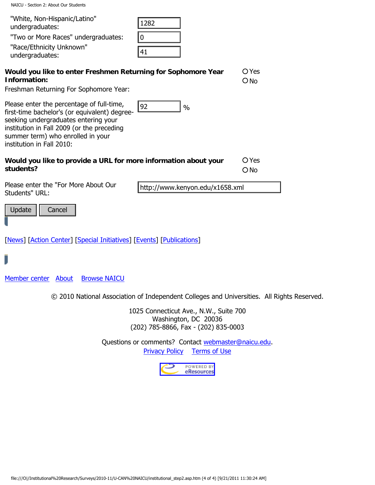NAICU - Section 2: About Our Students

| "White, Non-Hispanic/Latino"<br>1282<br>undergraduates:<br>0<br>"Two or More Races" undergraduates:<br>"Race/Ethnicity Unknown"<br>41<br>undergraduates:                                                                                                                  |
|---------------------------------------------------------------------------------------------------------------------------------------------------------------------------------------------------------------------------------------------------------------------------|
| O Yes<br>Would you like to enter Freshmen Returning for Sophomore Year<br>Information:<br>$O$ No<br>Freshman Returning For Sophomore Year:                                                                                                                                |
| Please enter the percentage of full-time,<br>92<br>$\frac{0}{0}$<br>first-time bachelor's (or equivalent) degree-<br>seeking undergraduates entering your<br>institution in Fall 2009 (or the preceding<br>summer term) who enrolled in your<br>institution in Fall 2010: |
| O Yes<br>Would you like to provide a URL for more information about your<br>students?<br>$O$ No                                                                                                                                                                           |
| Please enter the "For More About Our<br>http://www.kenyon.edu/x1658.xml<br>Students" URL:                                                                                                                                                                                 |
| Update<br>Cancel                                                                                                                                                                                                                                                          |
| [News] [Action Center] [Special Initiatives] [Events] [Publications]                                                                                                                                                                                                      |
|                                                                                                                                                                                                                                                                           |
| Member center<br><b>Browse NAICU</b><br>About                                                                                                                                                                                                                             |
| © 2010 National Association of Independent Colleges and Universities. All Rights                                                                                                                                                                                          |
| 1025 Connecticut Ave., N.W., Suite 700<br>Washington, DC 20036<br>(202) 785-8866, Fax - (202) 835-0003                                                                                                                                                                    |
| Questions or comments? Contact webmaster@naicu.edu.<br><b>Privacy Policy</b><br><b>Terms of Use</b>                                                                                                                                                                       |
| POWERED BY                                                                                                                                                                                                                                                                |
| eResources                                                                                                                                                                                                                                                                |
|                                                                                                                                                                                                                                                                           |
|                                                                                                                                                                                                                                                                           |
|                                                                                                                                                                                                                                                                           |
|                                                                                                                                                                                                                                                                           |
|                                                                                                                                                                                                                                                                           |
| file:///O /Institutional%20Research/Surveys/2010-11/U-CAN%20NAICU/institutional_step2.asp.htm (4 of 4) [9/21/2011 11:30:24 AM]                                                                                                                                            |

© 2010 National Association of Independent Colleges and Universities. All Rights Reserved.

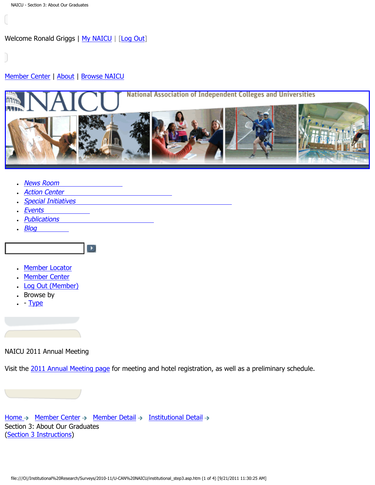<span id="page-6-0"></span>Welcome Ronald Griggs | [My NAICU](http://naicu.edu/My_NAICU/) | [[Log Out](http://naicu.edu/My_NAICU/signout.asp)]

## [Member Center](http://naicu.edu/Member_Center/default.asp) | [About](http://naicu.edu/about/default.asp) | [Browse NAICU](http://naicu.edu/Browse_NAICU/default.asp)



- [News Room](http://naicu.edu/news_room/default.asp)
- **[Action Center](http://capwiz.com/naicu/home/)**
- [Special Initiatives](http://naicu.edu/special_initiatives/default.asp)

 $\left[\begin{array}{c} \blacksquare \end{array}\right]$ 

- [Events](http://naicu.edu/events/default.asp)
- **[Publications](http://naicu.edu/publications/default.asp)**
- $\cdot$  [Blog](http://naicu.edu/naicublog/default.asp)
- [Member Locator](http://naicu.edu/member_center/memberLocator.asp)
- [Member Center](http://naicu.edu/member_center/)
- [Log Out \(Member\)](http://naicu.edu/member_center/signout.asp)
- Browse by
- $\cdot$  - [Type](http://naicu.edu/member_center/memberNews_byType.asp)

NAICU 2011 Annual Meeting

Visit the [2011 Annual Meeting page](http://www.naicu.edu/events/2011-annual-meeting) for meeting and hotel registration, as well as a preliminary schedule.

[Home](http://naicu.edu/)  $\rightarrow$  [Member Center](http://naicu.edu/member_center/)  $\rightarrow$  [Member Detail](http://naicu.edu/member_center/id.432/member_detail.asp)  $\rightarrow$  [Institutional Detail](http://naicu.edu/member_center/id.432/institutional_detail.asp)  $\rightarrow$ Section 3: About Our Graduates [\(Section 3 Instructions\)](http://www.naicu.edu/special_initiatives/u-can-data-entry-guidelines#Sec3)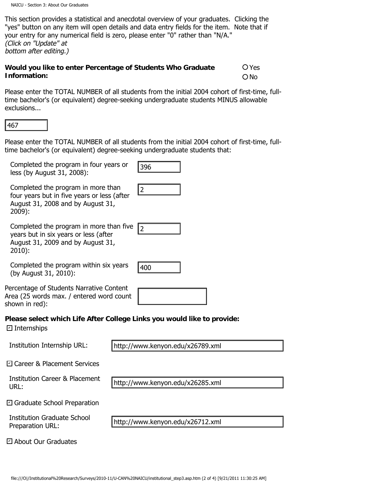This section provides a statistical and anecdotal overview of your graduates. Clicking the "yes" button on any item will open details and data entry fields for the item. Note that if your entry for any numerical field is zero, please enter "0" rather than "N/A." (Click on "Update" at bottom after editing.)

#### **Would you like to enter Percentage of Students Who Graduate Information: O**Yes ONo

Please enter the TOTAL NUMBER of all students from the initial 2004 cohort of first-time, fulltime bachelor's (or equivalent) degree-seeking undergraduate students MINUS allowable exclusions...

Please enter the TOTAL NUMBER of all students from the initial 2004 cohort of first-time, fulltime bachelor's (or equivalent) degree-seeking undergraduate students that: 467<br>Itesse enter the TOTAL NUMBER of all students from the initial 2004 cohort of first-time<br>Inc bachelor's (or equivalent) degree-seeking undergraduate students that:<br>Completed the program in more than<br>four years but in f

12

Completed the program in four years or less (by August 31, 2008):

Completed the program in more than four years but in five years or less (after August 31, 2008 and by August 31, 2009):

Completed the program in more than five years but in six years or less (after August 31, 2009 and by August 31, 2010):

Completed the program within six years (by August 31, 2010):

400

Percentage of Students Narrative Content Area (25 words max. / entered word count shown in red):

# **Please select which Life After College Links you would like to provide:**

Internships ✔

Institution Internship URL:

http://www.kenyon.edu/x26789.xml

Career & Placement Services ✔

Institution Career & Placement URL:

http://www.kenyon.edu/x26285.xml

Graduate School Preparation ✔

Institution Graduate School Preparation URL:

About Our Graduates ✔

http://www.kenyon.edu/x26712.xml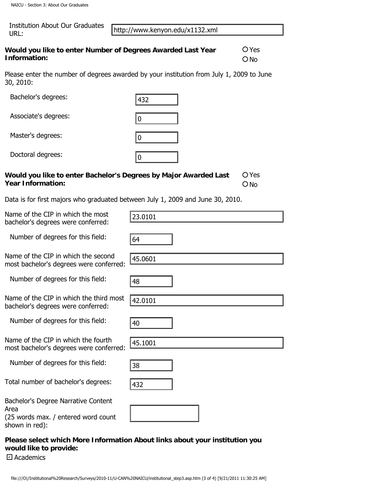NAICU - Section 3: About Our Graduates

| Institution About Our Graduates |
|---------------------------------|
| URL:                            |

| Would you like to enter Number of Degrees Awarded Last Year | $O$ Yes |
|-------------------------------------------------------------|---------|
| Information:                                                | $O$ No  |

| URL:                                                                           | http://www.kenyon.edu/x1132.xml                                                                                                |                   |
|--------------------------------------------------------------------------------|--------------------------------------------------------------------------------------------------------------------------------|-------------------|
| Would you like to enter Number of Degrees Awarded Last Year<br>Information:    |                                                                                                                                | $O$ Yes<br>$O$ No |
| 30, 2010:                                                                      | Please enter the number of degrees awarded by your institution from July 1, 2009 to June                                       |                   |
| Bachelor's degrees:                                                            | 432                                                                                                                            |                   |
| Associate's degrees:                                                           | 0                                                                                                                              |                   |
| Master's degrees:                                                              | 0                                                                                                                              |                   |
| Doctoral degrees:                                                              | $ 0\rangle$                                                                                                                    |                   |
| <b>Year Information:</b>                                                       | Would you like to enter Bachelor's Degrees by Major Awarded Last                                                               | O Yes<br>$O$ No   |
|                                                                                | Data is for first majors who graduated between July 1, 2009 and June 30, 2010.                                                 |                   |
| Name of the CIP in which the most<br>bachelor's degrees were conferred:        | 23.0101                                                                                                                        |                   |
| Number of degrees for this field:                                              | 64                                                                                                                             |                   |
| Name of the CIP in which the second<br>most bachelor's degrees were conferred: | 45.0601                                                                                                                        |                   |
| Number of degrees for this field:                                              | 48                                                                                                                             |                   |
| Name of the CIP in which the third most<br>bachelor's degrees were conferred:  | 42.0101                                                                                                                        |                   |
| Number of degrees for this field:                                              | 40                                                                                                                             |                   |
| Name of the CIP in which the fourth<br>most bachelor's degrees were conferred: | 45.1001                                                                                                                        |                   |
| Number of degrees for this field:                                              | 38                                                                                                                             |                   |
| Total number of bachelor's degrees:                                            | 432                                                                                                                            |                   |
| Bachelor's Degree Narrative Content<br>Area                                    |                                                                                                                                |                   |
| (25 words max. / entered word count<br>shown in red):                          |                                                                                                                                |                   |
| would like to provide:<br>□ Academics                                          | Please select which More Information About links about your institution you                                                    |                   |
|                                                                                | file:///O /Institutional%20Research/Surveys/2010-11/U-CAN%20NAICU/institutional_step3.asp.htm (3 of 4) [9/21/2011 11:30:25 AM] |                   |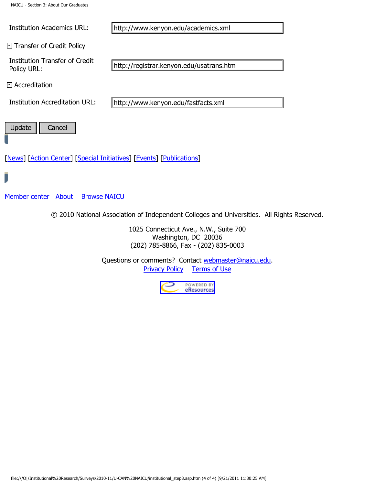NAICU - Section 3: About Our Graduates

Institution Academics URL:

**□ Transfer of Credit Policy** 

Institution Transfer of Credit Policy URL:

Accreditation ✔

Institution Accreditation URL:

http://www.kenyon.edu/fastfacts.xml

http://registrar.kenyon.edu/usatrans.htm

Update  $||$  Cancel

[\[News](http://naicu.edu/News_Room/default.asp)] [[Action Center\]](#page-6-0) [[Special Initiatives\]](http://naicu.edu/Special_Initiatives/default.asp) [\[Events](http://naicu.edu/Events/default.asp)] [\[Publications](http://naicu.edu/Publications/default.asp)]

[Member center](http://naicu.edu/Member_Center/default.asp) [About](http://naicu.edu/about/default.asp) [Browse NAICU](http://naicu.edu/Browse_NAICU/default.asp)

© 2010 National Association of Independent Colleges and Universities. All Rights Reserved.

1025 Connecticut Ave., N.W., Suite 700 Washington, DC 20036 (202) 785-8866, Fax - (202) 835-0003

Questions or comments? Contact [webmaster@naicu.edu](mailto:webmaster@naicu.edu). [Privacy Policy](http://naicu.edu/about/privacy-policy) [Terms of Use](http://naicu.edu/about/terms-of-use) Firstitution Academics URL:<br>
Traisfare of Credit Policy<br>
Traisfare of Credit<br>
Traisfare of Credit<br>
Traisfare of Credit<br>
Traisfare of Credit<br>
Traisfare of Alexis<br>
Traisfare (Survey Serveys MAICU)<br>
Update | Cancel<br>
Tensel (A

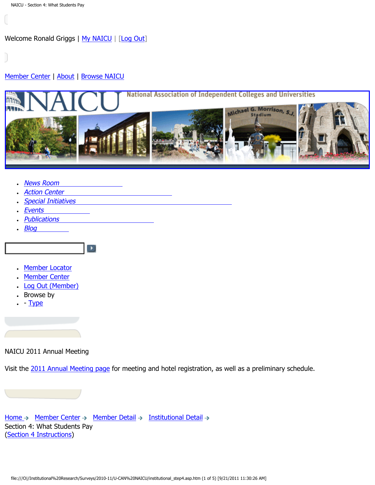<span id="page-10-0"></span>Welcome Ronald Griggs | [My NAICU](http://naicu.edu/My_NAICU/) | [[Log Out](http://naicu.edu/My_NAICU/signout.asp)]

### [Member Center](http://naicu.edu/Member_Center/default.asp) | [About](http://naicu.edu/about/default.asp) | [Browse NAICU](http://naicu.edu/Browse_NAICU/default.asp)



- [News Room](http://naicu.edu/news_room/default.asp)
- **[Action Center](http://capwiz.com/naicu/home/)**
- [Special Initiatives](http://naicu.edu/special_initiatives/default.asp)

 $\blacktriangleright$ 

- [Events](http://naicu.edu/events/default.asp)
- **[Publications](http://naicu.edu/publications/default.asp)**
- $\cdot$  [Blog](http://naicu.edu/naicublog/default.asp)
	-
- [Member Locator](http://naicu.edu/member_center/memberLocator.asp)
- [Member Center](http://naicu.edu/member_center/)
- [Log Out \(Member\)](http://naicu.edu/member_center/signout.asp)
- Browse by
- $\cdot$  - [Type](http://naicu.edu/member_center/memberNews_byType.asp)

NAICU 2011 Annual Meeting

Visit the [2011 Annual Meeting page](http://www.naicu.edu/events/2011-annual-meeting) for meeting and hotel registration, as well as a preliminary schedule.

[Home](http://naicu.edu/)  $\rightarrow$  [Member Center](http://naicu.edu/member_center/)  $\rightarrow$  [Member Detail](http://naicu.edu/member_center/id.432/member_detail.asp)  $\rightarrow$  [Institutional Detail](http://naicu.edu/member_center/id.432/institutional_detail.asp)  $\rightarrow$ Section 4: What Students Pay [\(Section 4 Instructions\)](http://www.naicu.edu/special_initiatives/u-can-data-entry-guidelines#Sec4)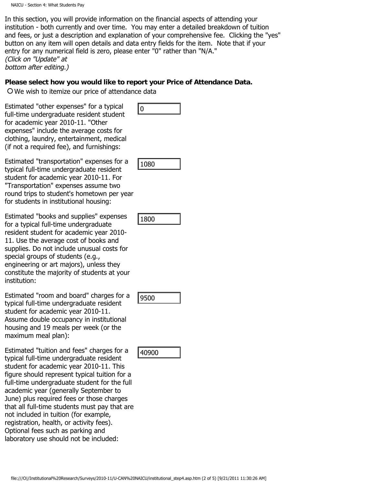In this section, you will provide information on the financial aspects of attending your institution - both currently and over time. You may enter a detailed breakdown of tuition and fees, or just a description and explanation of your comprehensive fee. Clicking the "yes" button on any item will open details and data entry fields for the item. Note that if your entry for any numerical field is zero, please enter "0" rather than "N/A." (Click on "Update" at bottom after editing.)

#### **Please select how you would like to report your Price of Attendance Data.**

We wish to itemize our price of attendance data

Estimated "other expenses" for a typical full-time undergraduate resident student for academic year 2010-11. "Other expenses" include the average costs for clothing, laundry, entertainment, medical (if not a required fee), and furnishings:

Estimated "transportation" expenses for a typical full-time undergraduate resident student for academic year 2010-11. For "Transportation" expenses assume two round trips to student's hometown per year for students in institutional housing:

Estimated "books and supplies" expenses for a typical full-time undergraduate resident student for academic year 2010- 11. Use the average cost of books and supplies. Do not include unusual costs for special groups of students (e.g., engineering or art majors), unless they constitute the majority of students at your institution:

Estimated "room and board" charges for a typical full-time undergraduate resident student for academic year 2010-11. Assume double occupancy in institutional housing and 19 meals per week (or the maximum meal plan):

Estimated "tuition and fees" charges for a typical full-time undergraduate resident student for academic year 2010-11. This figure should represent typical tuition for a full-time undergraduate student for the full academic year (generally September to June) plus required fees or those charges that all full-time students must pay that are not included in tuition (for example, registration, health, or activity fees). Optional fees such as parking and laboratory use should not be included: inlead collect explanation and the explanation of the endomination of a collection of a candomic year 2010-11:30 (the endomination control and a required frequency endomination and collection of a required frequency endomi



1080

| 180 |  |
|-----|--|
|     |  |



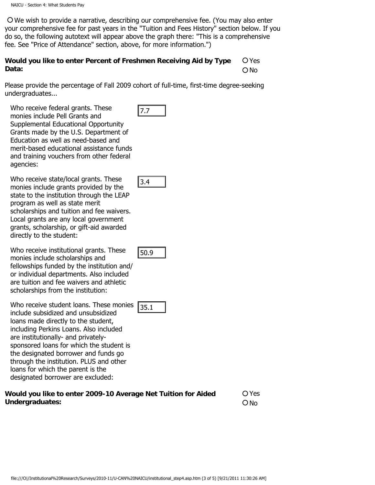We wish to provide a narrative, describing our comprehensive fee. (You may also enter your comprehensive fee for past years in the "Tuition and Fees History" section below. If you do so, the following autotext will appear above the graph there: "This is a comprehensive fee. See "Price of Attendance" section, above, for more information.")

#### **Would you like to enter Percent of Freshmen Receiving Aid by Type Data:**  Yes O No

Please provide the percentage of Fall 2009 cohort of full-time, first-time degree-seeking undergraduates...

Who receive federal grants. These monies include Pell Grants and Supplemental Educational Opportunity Grants made by the U.S. Department of Education as well as need-based and merit-based educational assistance funds and training vouchers from other federal agencies:

Who receive state/local grants. These monies include grants provided by the state to the institution through the LEAP program as well as state merit scholarships and tuition and fee waivers. Local grants are any local government grants, scholarship, or gift-aid awarded directly to the student:

Who receive institutional grants. These monies include scholarships and fellowships funded by the institution and/ or individual departments. Also included are tuition and fee waivers and athletic scholarships from the institution:

Who receive student loans. These monies include subsidized and unsubsidized loans made directly to the student, including Perkins Loans. Also included are institutionally- and privatelysponsored loans for which the student is the designated borrower and funds go through the institution. PLUS and other loans for which the parent is the designated borrower are excluded: film: the cluster is the cluster of the cluster of the cluster of the cluster of the cluster of Conductional Conductional Conductional and the methods and the methods and the methods and the methods and the methods of stat

| Would you like to enter 2009-10 Average Net Tuition for Aided |  |
|---------------------------------------------------------------|--|
| Undergraduates:                                               |  |

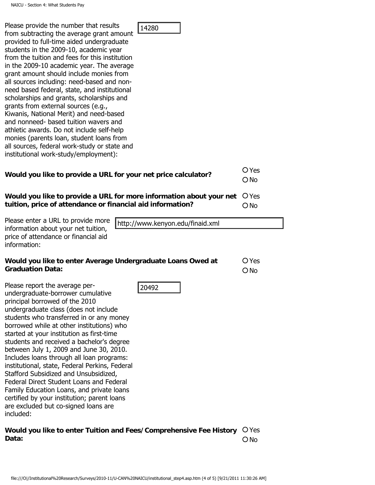| Please provide the number that results<br>14280<br>from subtracting the average grant amount<br>provided to full-time aided undergraduate<br>students in the 2009-10, academic year<br>from the tuition and fees for this institution<br>in the 2009-10 academic year. The average<br>grant amount should include monies from<br>all sources including: need-based and non-<br>need based federal, state, and institutional<br>scholarships and grants, scholarships and<br>grants from external sources (e.g.,<br>Kiwanis, National Merit) and need-based<br>and nonneed- based tuition wavers and<br>athletic awards. Do not include self-help<br>monies (parents loan, student loans from<br>all sources, federal work-study or state and<br>institutional work-study/employment): |                          |
|---------------------------------------------------------------------------------------------------------------------------------------------------------------------------------------------------------------------------------------------------------------------------------------------------------------------------------------------------------------------------------------------------------------------------------------------------------------------------------------------------------------------------------------------------------------------------------------------------------------------------------------------------------------------------------------------------------------------------------------------------------------------------------------|--------------------------|
| Would you like to provide a URL for your net price calculator?                                                                                                                                                                                                                                                                                                                                                                                                                                                                                                                                                                                                                                                                                                                        | O Yes<br>$\bigcirc$ No   |
| Would you like to provide a URL for more information about your net<br>tuition, price of attendance or financial aid information?                                                                                                                                                                                                                                                                                                                                                                                                                                                                                                                                                                                                                                                     | $O$ Yes<br>$\bigcirc$ No |
| Please enter a URL to provide more<br>http://www.kenyon.edu/finaid.xml<br>information about your net tuition,<br>price of attendance or financial aid<br>information:                                                                                                                                                                                                                                                                                                                                                                                                                                                                                                                                                                                                                 |                          |
| Would you like to enter Average Undergraduate Loans Owed at<br><b>Graduation Data:</b>                                                                                                                                                                                                                                                                                                                                                                                                                                                                                                                                                                                                                                                                                                | O Yes<br>$O$ No          |
| Please report the average per-<br>20492<br>undergraduate-borrower cumulative<br>principal borrowed of the 2010<br>undergraduate class (does not include<br>students who transferred in or any money<br>borrowed while at other institutions) who<br>started at your institution as first-time<br>students and received a bachelor's degree<br>between July 1, 2009 and June 30, 2010.                                                                                                                                                                                                                                                                                                                                                                                                 |                          |
| Includes loans through all loan programs:<br>institutional, state, Federal Perkins, Federal<br>Stafford Subsidized and Unsubsidized,<br>Federal Direct Student Loans and Federal<br>Family Education Loans, and private loans<br>certified by your institution; parent loans<br>are excluded but co-signed loans are<br>included:                                                                                                                                                                                                                                                                                                                                                                                                                                                     |                          |
| Would you like to enter Tuition and Fees/Comprehensive Fee History<br>Data:                                                                                                                                                                                                                                                                                                                                                                                                                                                                                                                                                                                                                                                                                                           | O Yes<br>$O$ No          |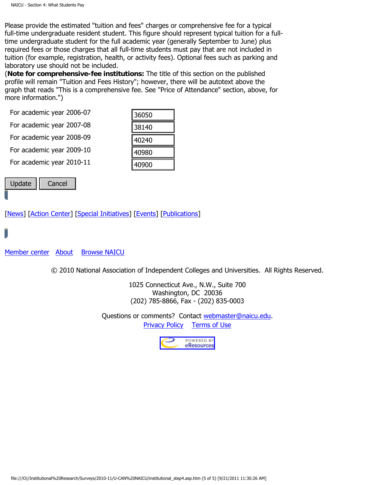NAICU - Section 4: What Students Pay

Please provide the estimated "tuition and fees" charges or comprehensive fee for a typical full-time undergraduate resident student. This figure should represent typical tuition for a fulltime undergraduate student for the full academic year (generally September to June) plus required fees or those charges that all full-time students must pay that are not included in tuition (for example, registration, health, or activity fees). Optional fees such as parking and laboratory use should not be included.

(**Note for comprehensive-fee institutions:** The title of this section on the published profile will remain "Tuition and Fees History"; however, there will be autotext above the graph that reads "This is a comprehensive fee. See "Price of Attendance" section, above, for more information.")

For academic year 2006-07

For academic year 2007-08

For academic year 2008-09

For academic year 2009-10

For academic year 2010-11

| 36050 |
|-------|
| 38140 |
| 40240 |
| 40980 |
| 40900 |

| <b>Undate</b> | Cancel |
|---------------|--------|
|---------------|--------|

[\[News](http://naicu.edu/News_Room/default.asp)] [[Action Center\]](#page-10-0) [[Special Initiatives\]](http://naicu.edu/Special_Initiatives/default.asp) [\[Events](http://naicu.edu/Events/default.asp)] [\[Publications](http://naicu.edu/Publications/default.asp)]

[Member center](http://naicu.edu/Member_Center/default.asp) [About](http://naicu.edu/about/default.asp) [Browse NAICU](http://naicu.edu/Browse_NAICU/default.asp)

© 2010 National Association of Independent Colleges and Universities. All Rights Reserved.

1025 Connecticut Ave., N.W., Suite 700 Washington, DC 20036 (202) 785-8866, Fax - (202) 835-0003 For academic year 2005-09<br>
For academic year 2009-10<br>
For academic year 2009-10<br> **The Cancel 2010-11**<br> **Example 10**<br> **Cancel 2010-11**<br> **Example 2010-11**<br> **Example 2010-11**<br> **Example 2010-2011**<br> **Example 2010-2011**<br> **Examp** 

Questions or comments? Contact [webmaster@naicu.edu](mailto:webmaster@naicu.edu). [Privacy Policy](http://naicu.edu/about/privacy-policy) [Terms of Use](http://naicu.edu/about/terms-of-use)

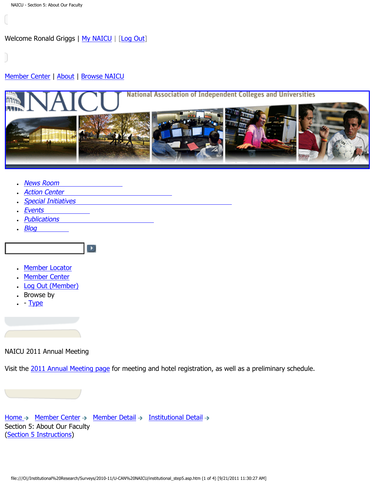<span id="page-15-0"></span>Welcome Ronald Griggs | [My NAICU](http://naicu.edu/My_NAICU/) | [[Log Out](http://naicu.edu/My_NAICU/signout.asp)]

### [Member Center](http://naicu.edu/Member_Center/default.asp) | [About](http://naicu.edu/about/default.asp) | [Browse NAICU](http://naicu.edu/Browse_NAICU/default.asp)



- [News Room](http://naicu.edu/news_room/default.asp)
- **[Action Center](http://capwiz.com/naicu/home/)**
- [Special Initiatives](http://naicu.edu/special_initiatives/default.asp)

 $\blacktriangleright$ 

- [Events](http://naicu.edu/events/default.asp)
- [Publications](http://naicu.edu/publications/default.asp)
- $\cdot$  [Blog](http://naicu.edu/naicublog/default.asp)
	-
- [Member Locator](http://naicu.edu/member_center/memberLocator.asp)
- [Member Center](http://naicu.edu/member_center/)
- [Log Out \(Member\)](http://naicu.edu/member_center/signout.asp)
- Browse by
- $\cdot$  - [Type](http://naicu.edu/member_center/memberNews_byType.asp)

NAICU 2011 Annual Meeting

Visit the [2011 Annual Meeting page](http://www.naicu.edu/events/2011-annual-meeting) for meeting and hotel registration, as well as a preliminary schedule.

[Home](http://naicu.edu/)  $\rightarrow$  [Member Center](http://naicu.edu/member_center/)  $\rightarrow$  [Member Detail](http://naicu.edu/member_center/id.432/member_detail.asp)  $\rightarrow$  [Institutional Detail](http://naicu.edu/member_center/id.432/institutional_detail.asp)  $\rightarrow$ Section 5: About Our Faculty [\(Section 5 Instructions\)](http://www.naicu.edu/special_initiatives/u-can-data-entry-guidelines#Sec5)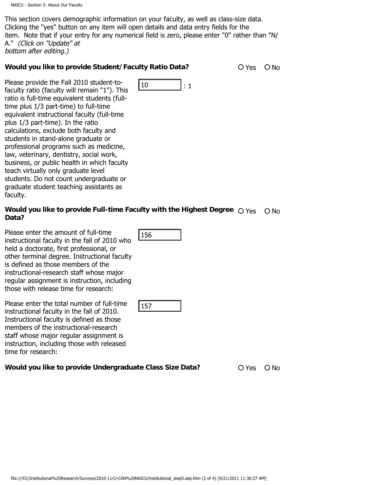This section covers demographic information on your faculty, as well as class-size data. Clicking the "yes" button on any item will open details and data entry fields for the item. Note that if your entry for any numerical field is zero, please enter "0" rather than "N/ A." (Click on "Update" at bottom after editing.)

 $\begin{array}{ccc} 10 & & \cdot & \cdot & 1 \end{array}$ 

#### **Would you like to provide Student/Faculty Ratio Data?** 0 Yes O No

Please provide the Fall 2010 student-tofaculty ratio (faculty will remain "1"). This ratio is full-time equivalent students (fulltime plus 1/3 part-time) to full-time equivalent instructional faculty (full-time plus 1/3 part-time). In the ratio calculations, exclude both faculty and students in stand-alone graduate or professional programs such as medicine, law, veterinary, dentistry, social work, business, or public health in which faculty teach virtually only graduate level students. Do not count undergraduate or graduate student teaching assistants as faculty. file:<br>which the relation of the relationship of the relationship of the relationship of the relationship of the relationship of the relationship of the relationship of the relationship of the relations and allowed product

# Would you like to provide Full-time Faculty with the Highest Degree  $\bigcirc$  <sub>Yes  $\hspace{0.1 cm}$  O No Data?</sub>

Please enter the amount of full-time instructional faculty in the fall of 2010 who held a doctorate, first professional, or other terminal degree. Instructional faculty is defined as those members of the instructional-research staff whose major regular assignment is instruction, including those with release time for research:

Please enter the total number of full-time instructional faculty in the fall of 2010. Instructional faculty is defined as those members of the instructional-research staff whose major regular assignment is instruction, including those with released time for research:

|--|

**Would you like to provide Undergraduate Class Size Data?**  $\bigcirc$  Yes  $\bigcirc$  No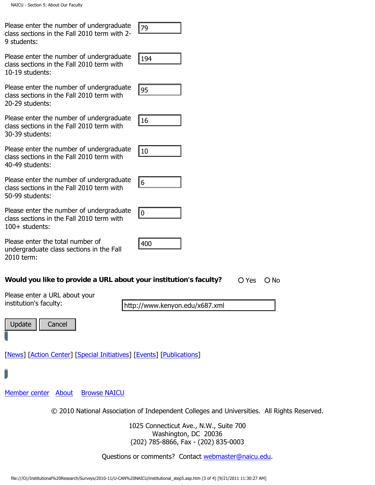Please enter the number of undergraduate class sections in the Fall 2010 term with 2- 9 students:

Please enter the number of undergraduate class sections in the Fall 2010 term with 10-19 students:

Please enter the number of undergraduate class sections in the Fall 2010 term with 20-29 students:

Please enter the number of undergraduate class sections in the Fall 2010 term with 30-39 students:

Please enter the number of undergraduate class sections in the Fall 2010 term with 40-49 students:

Please enter the number of undergraduate class sections in the Fall 2010 term with 50-99 students:

Please enter the number of undergraduate class sections in the Fall 2010 term with 100+ students:

0

Please enter the total number of undergraduate class sections in the Fall 2010 term:

## **Would you like to provide a URL about your institution's faculty?**  $\bigcirc$  Yes  $\bigcirc$  No

400

Please enter a URL about your institution's faculty:

http://www.kenyon.edu/x687.xml

Update | Cancel

[\[News](http://naicu.edu/News_Room/default.asp)] [[Action Center\]](#page-15-0) [[Special Initiatives\]](http://naicu.edu/Special_Initiatives/default.asp) [\[Events](http://naicu.edu/Events/default.asp)] [\[Publications](http://naicu.edu/Publications/default.asp)]

[Member center](http://naicu.edu/Member_Center/default.asp) [About](http://naicu.edu/about/default.asp) [Browse NAICU](http://naicu.edu/Browse_NAICU/default.asp)

© 2010 National Association of Independent Colleges and Universities. All Rights Reserved.

1025 Connecticut Ave., N.W., Suite 700 Washington, DC 20036 (202) 785-8866, Fax - (202) 835-0003 File: Even the filmined of Unitergraduate<br>
Sits sections in the Fall 2010 term with<br>
2016 term with reflections:<br>
Sits sections in the Fall 2010 term with<br>
Sits sections in the Fall 2010 term with<br>
Sits sections in the Fal

Questions or comments? Contact [webmaster@naicu.edu](mailto:webmaster@naicu.edu).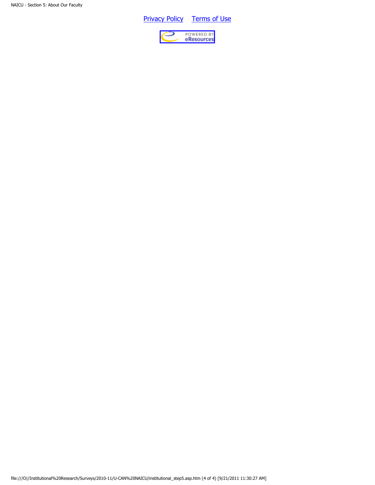**Privacy Policy** [Terms of Use](http://naicu.edu/about/terms-of-use)

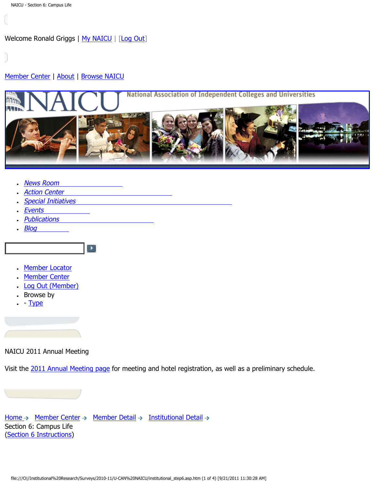<span id="page-19-0"></span>Welcome Ronald Griggs | [My NAICU](http://naicu.edu/My_NAICU/) | [[Log Out](http://naicu.edu/My_NAICU/signout.asp)]

#### [Member Center](http://naicu.edu/Member_Center/default.asp) | [About](http://naicu.edu/about/default.asp) | [Browse NAICU](http://naicu.edu/Browse_NAICU/default.asp)



- [News Room](http://naicu.edu/news_room/default.asp)
- **[Action Center](http://capwiz.com/naicu/home/)**
- [Special Initiatives](http://naicu.edu/special_initiatives/default.asp)

 $\blacktriangleright$ 

- [Events](http://naicu.edu/events/default.asp)
- **[Publications](http://naicu.edu/publications/default.asp)**
- $\cdot$  [Blog](http://naicu.edu/naicublog/default.asp)
- [Member Locator](http://naicu.edu/member_center/memberLocator.asp)
- [Member Center](http://naicu.edu/member_center/)
- 
- [Log Out \(Member\)](http://naicu.edu/member_center/signout.asp)
- Browse by
- $\cdot$  - [Type](http://naicu.edu/member_center/memberNews_byType.asp)

NAICU 2011 Annual Meeting

Visit the [2011 Annual Meeting page](http://www.naicu.edu/events/2011-annual-meeting) for meeting and hotel registration, as well as a preliminary schedule.

[Home](http://naicu.edu/)  $\rightarrow$  [Member Center](http://naicu.edu/member_center/)  $\rightarrow$  [Member Detail](http://naicu.edu/member_center/id.432/member_detail.asp)  $\rightarrow$  [Institutional Detail](http://naicu.edu/member_center/id.432/institutional_detail.asp)  $\rightarrow$ Section 6: Campus Life [\(Section 6 Instructions\)](http://www.naicu.edu/special_initiatives/u-can-data-entry-guidelines#Sec6)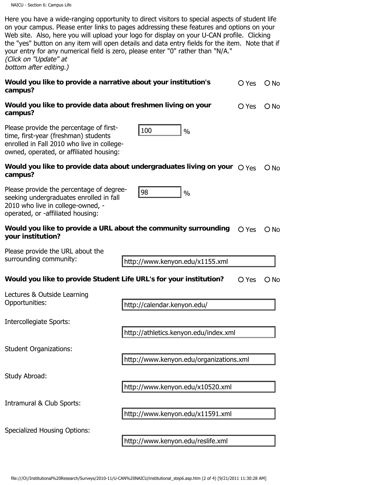| Here you have a wide-ranging opportunity to direct visitors to special aspects of student life  |
|-------------------------------------------------------------------------------------------------|
| on your campus. Please enter links to pages addressing these features and options on your       |
| Web site. Also, here you will upload your logo for display on your U-CAN profile. Clicking      |
| the "yes" button on any item will open details and data entry fields for the item. Note that if |
| your entry for any numerical field is zero, please enter "0" rather than "N/A."                 |
| (Click on "Update" at                                                                           |
| bottom after editing.)                                                                          |
|                                                                                                 |

| Would you like to provide a narrative about your institution's | $O Yes$ $O No$ |  |
|----------------------------------------------------------------|----------------|--|
| campus?                                                        |                |  |

| Would you like to provide data about freshmen living on your | O Yes O No |  |
|--------------------------------------------------------------|------------|--|
| campus?                                                      |            |  |

 $\begin{array}{ccc} \vert 100 \vert & \vert \ \end{array}$ 

Please provide the percentage of firsttime, first-year (freshman) students enrolled in Fall 2010 who live in collegeowned, operated, or affiliated housing:

# Would you like to provide data about undergraduates living on your  $\bigcirc$  Yes  $\bigcirc$  No campus?

| Would you like to provide a URL about the community surrounding $\bigcirc \vee_{\text{CS}} \bigcirc \vee_{\text{NO}}$ |  |
|-----------------------------------------------------------------------------------------------------------------------|--|
| your institution?                                                                                                     |  |

#### **Would you like to provide Student Life URL's for your institution?** O Yes O No

| Please provide the percentage of first-<br>time, first-year (freshman) students<br>enrolled in Fall 2010 who live in college-<br>owned, operated, or affiliated housing: | 100<br>$\frac{0}{0}$                                                                                                           |
|--------------------------------------------------------------------------------------------------------------------------------------------------------------------------|--------------------------------------------------------------------------------------------------------------------------------|
| campus?                                                                                                                                                                  | Would you like to provide data about undergraduates living on your $\bigcirc$ Yes                                              |
| Please provide the percentage of degree-<br>seeking undergraduates enrolled in fall<br>2010 who live in college-owned, -<br>operated, or -affiliated housing:            | 98<br>$\frac{0}{0}$                                                                                                            |
| Would you like to provide a URL about the community surrounding<br>your institution?                                                                                     | O Yes                                                                                                                          |
| Please provide the URL about the                                                                                                                                         |                                                                                                                                |
| surrounding community:                                                                                                                                                   | http://www.kenyon.edu/x1155.xml                                                                                                |
| Would you like to provide Student Life URL's for your institution?                                                                                                       | O Yes                                                                                                                          |
| Lectures & Outside Learning<br>Opportunities:                                                                                                                            | http://calendar.kenyon.edu/                                                                                                    |
| Intercollegiate Sports:                                                                                                                                                  |                                                                                                                                |
|                                                                                                                                                                          | http://athletics.kenyon.edu/index.xml                                                                                          |
| <b>Student Organizations:</b>                                                                                                                                            |                                                                                                                                |
|                                                                                                                                                                          | http://www.kenyon.edu/organizations.xml                                                                                        |
| Study Abroad:                                                                                                                                                            |                                                                                                                                |
|                                                                                                                                                                          | http://www.kenyon.edu/x10520.xml                                                                                               |
| Intramural & Club Sports:                                                                                                                                                |                                                                                                                                |
|                                                                                                                                                                          | http://www.kenyon.edu/x11591.xml                                                                                               |
| <b>Specialized Housing Options:</b>                                                                                                                                      |                                                                                                                                |
|                                                                                                                                                                          | http://www.kenyon.edu/reslife.xml                                                                                              |
|                                                                                                                                                                          |                                                                                                                                |
|                                                                                                                                                                          | file:///O /Institutional%20Research/Surveys/2010-11/U-CAN%20NAICU/institutional step6.asp.htm (2 of 4) [9/21/2011 11:30:28 AM] |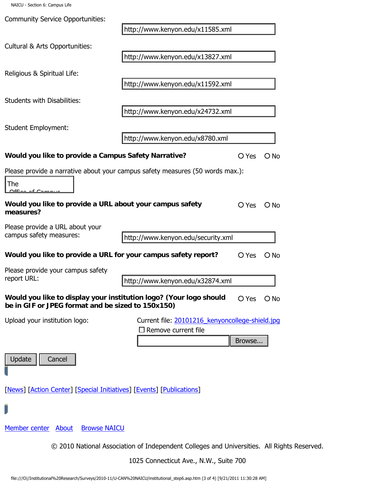| <b>Community Service Opportunities:</b>                                                                                 | http://www.kenyon.edu/x11585.xml                                                                                               |        |               |
|-------------------------------------------------------------------------------------------------------------------------|--------------------------------------------------------------------------------------------------------------------------------|--------|---------------|
| Cultural & Arts Opportunities:                                                                                          |                                                                                                                                |        |               |
|                                                                                                                         | http://www.kenyon.edu/x13827.xml                                                                                               |        |               |
| Religious & Spiritual Life:                                                                                             | http://www.kenyon.edu/x11592.xml                                                                                               |        |               |
| <b>Students with Disabilities:</b>                                                                                      |                                                                                                                                |        |               |
| <b>Student Employment:</b>                                                                                              | http://www.kenyon.edu/x24732.xml                                                                                               |        |               |
|                                                                                                                         | http://www.kenyon.edu/x8780.xml                                                                                                |        |               |
| Would you like to provide a Campus Safety Narrative?                                                                    |                                                                                                                                | O Yes  | $\bigcirc$ No |
| The<br><u> 26 Campa</u>                                                                                                 | Please provide a narrative about your campus safety measures (50 words max.):                                                  |        |               |
| Would you like to provide a URL about your campus safety<br>measures?                                                   |                                                                                                                                | O Yes  | $O$ No        |
| Please provide a URL about your<br>campus safety measures:                                                              | http://www.kenyon.edu/security.xml                                                                                             |        |               |
| Would you like to provide a URL for your campus safety report?                                                          |                                                                                                                                | O Yes  | $O$ No        |
| Please provide your campus safety<br>report URL:                                                                        | http://www.kenyon.edu/x32874.xml                                                                                               |        |               |
| Would you like to display your institution logo? (Your logo should<br>be in GIF or JPEG format and be sized to 150x150) |                                                                                                                                | O Yes  | $O$ No        |
| Upload your institution logo:                                                                                           | Current file: 20101216_kenyoncollege-shield.jpg<br>$\square$ Remove current file                                               |        |               |
|                                                                                                                         |                                                                                                                                | Browse |               |
| Update<br>Cancel                                                                                                        |                                                                                                                                |        |               |
| [News] [Action Center] [Special Initiatives] [Events] [Publications]                                                    |                                                                                                                                |        |               |
|                                                                                                                         |                                                                                                                                |        |               |
| Member center About<br><b>Browse NAICU</b>                                                                              |                                                                                                                                |        |               |
|                                                                                                                         | © 2010 National Association of Independent Colleges and Universities. All Rights Reserved.                                     |        |               |
|                                                                                                                         | 1025 Connecticut Ave., N.W., Suite 700                                                                                         |        |               |
|                                                                                                                         | file:///O /Institutional%20Research/Surveys/2010-11/U-CAN%20NAICU/institutional_step6.asp.htm (3 of 4) [9/21/2011 11:30:28 AM] |        |               |